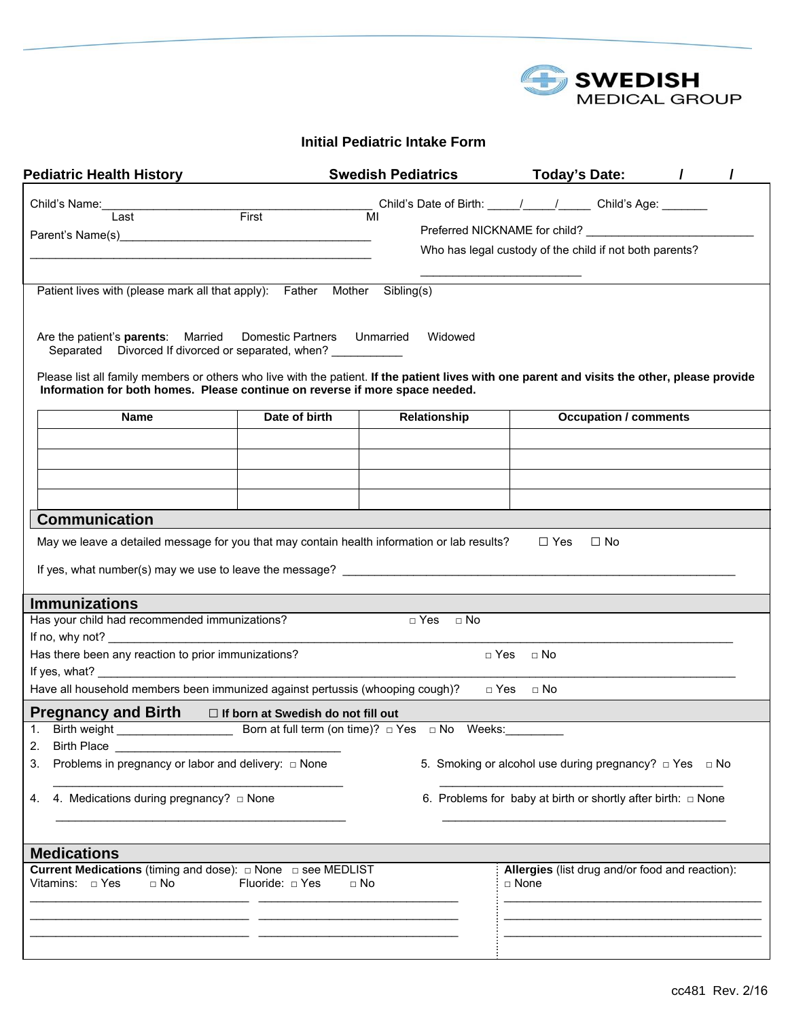

## **Initial Pediatric Intake Form**

| <b>Pediatric Health History</b>                                                                                                                                                                                                                                                           |                                                          | <b>Swedish Pediatrics</b> |                                                                                                                                                                                                                                |                      |            | <b>Today's Date:</b>                            |  |
|-------------------------------------------------------------------------------------------------------------------------------------------------------------------------------------------------------------------------------------------------------------------------------------------|----------------------------------------------------------|---------------------------|--------------------------------------------------------------------------------------------------------------------------------------------------------------------------------------------------------------------------------|----------------------|------------|-------------------------------------------------|--|
| Child's Name:                                                                                                                                                                                                                                                                             |                                                          |                           | Child's Date of Birth: \,\bigg_{\bigg_{\bigg_{\bigg_{\bigg_{\bigg_{\bigg_{\bigg_{\bigg_{\bigg_{\bigg_{\bigg_{\bigg_{\bigg_{\bigg_{\bigg_{\bigg_{\bigg_{\bigg_{\bigg_{\bigg_{\bigg_{\bigg_{\bigg_{\bigg_{\bigg_{\bigg_{\bigg_{\ |                      |            |                                                 |  |
| Last                                                                                                                                                                                                                                                                                      | First                                                    | MI                        | Preferred NICKNAME for child?                                                                                                                                                                                                  |                      |            |                                                 |  |
|                                                                                                                                                                                                                                                                                           |                                                          |                           | Who has legal custody of the child if not both parents?                                                                                                                                                                        |                      |            |                                                 |  |
|                                                                                                                                                                                                                                                                                           |                                                          |                           |                                                                                                                                                                                                                                |                      |            |                                                 |  |
| Patient lives with (please mark all that apply): Father Mother Sibling(s)                                                                                                                                                                                                                 |                                                          |                           |                                                                                                                                                                                                                                |                      |            |                                                 |  |
| Are the patient's <b>parents</b> : Married<br>Separated Divorced If divorced or separated, when?<br>Please list all family members or others who live with the patient. If the patient lives with one parent and visits the other, please provide                                         | Domestic Partners Unmarried                              |                           | Widowed                                                                                                                                                                                                                        |                      |            |                                                 |  |
| Information for both homes. Please continue on reverse if more space needed.                                                                                                                                                                                                              |                                                          |                           |                                                                                                                                                                                                                                |                      |            |                                                 |  |
| <b>Name</b>                                                                                                                                                                                                                                                                               | Date of birth                                            |                           | Relationship                                                                                                                                                                                                                   |                      |            | <b>Occupation / comments</b>                    |  |
|                                                                                                                                                                                                                                                                                           |                                                          |                           |                                                                                                                                                                                                                                |                      |            |                                                 |  |
|                                                                                                                                                                                                                                                                                           |                                                          |                           |                                                                                                                                                                                                                                |                      |            |                                                 |  |
|                                                                                                                                                                                                                                                                                           |                                                          |                           |                                                                                                                                                                                                                                |                      |            |                                                 |  |
| <b>Communication</b>                                                                                                                                                                                                                                                                      |                                                          |                           |                                                                                                                                                                                                                                |                      |            |                                                 |  |
| May we leave a detailed message for you that may contain health information or lab results?                                                                                                                                                                                               |                                                          |                           |                                                                                                                                                                                                                                |                      | $\Box$ Yes | $\Box$ No                                       |  |
| If yes, what number(s) may we use to leave the message? Learner and the method of the state of the state of the state of the state of the state of the state of the state of the state of the state of the state of the state                                                             |                                                          |                           |                                                                                                                                                                                                                                |                      |            |                                                 |  |
| <b>Immunizations</b>                                                                                                                                                                                                                                                                      |                                                          |                           |                                                                                                                                                                                                                                |                      |            |                                                 |  |
| Has your child had recommended immunizations?                                                                                                                                                                                                                                             |                                                          |                           | $\Box$ Yes $\Box$ No                                                                                                                                                                                                           |                      |            |                                                 |  |
| If no, why not? $\frac{1}{2}$ and $\frac{1}{2}$ and $\frac{1}{2}$ and $\frac{1}{2}$ and $\frac{1}{2}$ and $\frac{1}{2}$ and $\frac{1}{2}$ and $\frac{1}{2}$ and $\frac{1}{2}$ and $\frac{1}{2}$ and $\frac{1}{2}$ and $\frac{1}{2}$ and $\frac{1}{2}$ and $\frac{1}{2}$ and $\frac{1}{2}$ |                                                          |                           |                                                                                                                                                                                                                                |                      |            |                                                 |  |
| Has there been any reaction to prior immunizations?                                                                                                                                                                                                                                       |                                                          |                           |                                                                                                                                                                                                                                | $\Box$ Yes $\Box$ No |            |                                                 |  |
| Have all household members been immunized against pertussis (whooping cough)?                                                                                                                                                                                                             |                                                          |                           |                                                                                                                                                                                                                                | □ Yes<br>$\Box$ No   |            |                                                 |  |
| <b>Pregnancy and Birth</b>                                                                                                                                                                                                                                                                | $\Box$ If born at Swedish do not fill out                |                           |                                                                                                                                                                                                                                |                      |            |                                                 |  |
|                                                                                                                                                                                                                                                                                           | Born at full term (on time)? $\Box$ Yes $\Box$ No Weeks: |                           |                                                                                                                                                                                                                                |                      |            |                                                 |  |
| <b>Birth Place</b><br>2.<br>Problems in pregnancy or labor and delivery: □ None                                                                                                                                                                                                           |                                                          |                           |                                                                                                                                                                                                                                |                      |            |                                                 |  |
| 3.                                                                                                                                                                                                                                                                                        |                                                          |                           | 5. Smoking or alcohol use during pregnancy? $\Box$ Yes $\Box$ No                                                                                                                                                               |                      |            |                                                 |  |
| 4. Medications during pregnancy? $\Box$ None<br>4.                                                                                                                                                                                                                                        |                                                          |                           | 6. Problems for baby at birth or shortly after birth: $\Box$ None                                                                                                                                                              |                      |            |                                                 |  |
|                                                                                                                                                                                                                                                                                           |                                                          |                           |                                                                                                                                                                                                                                |                      |            |                                                 |  |
| <b>Medications</b>                                                                                                                                                                                                                                                                        |                                                          |                           |                                                                                                                                                                                                                                |                      |            |                                                 |  |
| Current Medications (timing and dose): $\Box$ None $\Box$ see MEDLIST<br>Vitamins: $\Box$ Yes<br>$\Box$ No                                                                                                                                                                                | Fluoride: $\Box$ Yes                                     | $\Box$ No                 |                                                                                                                                                                                                                                | □ None               |            | Allergies (list drug and/or food and reaction): |  |
|                                                                                                                                                                                                                                                                                           |                                                          |                           |                                                                                                                                                                                                                                |                      |            |                                                 |  |
|                                                                                                                                                                                                                                                                                           |                                                          |                           |                                                                                                                                                                                                                                |                      |            |                                                 |  |